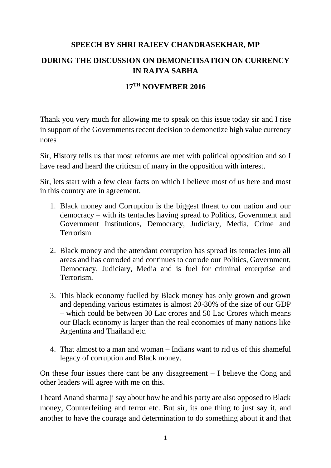## **SPEECH BY SHRI RAJEEV CHANDRASEKHAR, MP**

## **DURING THE DISCUSSION ON DEMONETISATION ON CURRENCY IN RAJYA SABHA**

## **17TH NOVEMBER 2016**

Thank you very much for allowing me to speak on this issue today sir and I rise in support of the Governments recent decision to demonetize high value currency notes

Sir, History tells us that most reforms are met with political opposition and so I have read and heard the criticsm of many in the opposition with interest.

Sir, lets start with a few clear facts on which I believe most of us here and most in this country are in agreement.

- 1. Black money and Corruption is the biggest threat to our nation and our democracy – with its tentacles having spread to Politics, Government and Government Institutions, Democracy, Judiciary, Media, Crime and Terrorism
- 2. Black money and the attendant corruption has spread its tentacles into all areas and has corroded and continues to corrode our Politics, Government, Democracy, Judiciary, Media and is fuel for criminal enterprise and Terrorism.
- 3. This black economy fuelled by Black money has only grown and grown and depending various estimates is almost 20-30% of the size of our GDP – which could be between 30 Lac crores and 50 Lac Crores which means our Black economy is larger than the real economies of many nations like Argentina and Thailand etc.
- 4. That almost to a man and woman Indians want to rid us of this shameful legacy of corruption and Black money.

On these four issues there cant be any disagreement – I believe the Cong and other leaders will agree with me on this.

I heard Anand sharma ji say about how he and his party are also opposed to Black money, Counterfeiting and terror etc. But sir, its one thing to just say it, and another to have the courage and determination to do something about it and that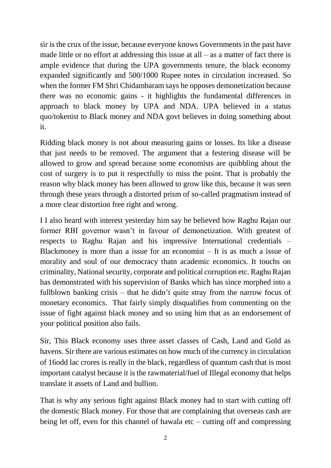sir is the crux of the issue, because everyone knows Governments in the past have made little or no effort at addressing this issue at all  $-$  as a matter of fact there is ample evidence that during the UPA governments tenure, the black economy expanded significantly and 500/1000 Rupee notes in circulation increased. So when the former FM Shri Chidambaram says he opposes demonetization because there was no economic gains - it highlights the fundamental differences in approach to black money by UPA and NDA. UPA believed in a status quo/tokenist to Black money and NDA govt believes in doing something about it.

Ridding black money is not about measuring gains or losses. Its like a disease that just needs to be removed. The argument that a festering disease will be allowed to grow and spread because some economists are quibbling about the cost of surgery is to put it respectfully to miss the point. That is probably the reason why black money has been allowed to grow like this, because it was seen through these years through a distorted prism of so-called pragmatism instead of a more clear distortion free right and wrong.

I I also heard with interest yesterday him say he believed how Raghu Rajan our former RBI governor wasn't in favour of demonetization. With greatest of respects to Raghu Rajan and his impressive International credentials – Blackmoney is more than a issue for an economist  $-$  It is as much a issue of morality and soul of our democracy thatn academic economics. It touchs on criminality, National security, corporate and political corruption etc. Raghu Rajan has demonstrated with his supervision of Banks which has since morphed into a fullblown banking crisis – that he didn't quite stray from the narrow focus of monetary economics. That fairly simply disqualifies from commenting on the issue of fight against black money and so using him that as an endorsement of your political position also fails.

Sir, This Black economy uses three asset classes of Cash, Land and Gold as havens. Sir there are various estimates on how much of the currency in circulation of 16odd lac crores is really in the black, regardless of quantum cash that is most important catalyst because it is the rawmaterial/fuel of Illegal economy that helps translate it assets of Land and bullion.

That is why any serious fight against Black money had to start with cutting off the domestic Black money. For those that are complaining that overseas cash are being let off, even for this channel of hawala etc – cutting off and compressing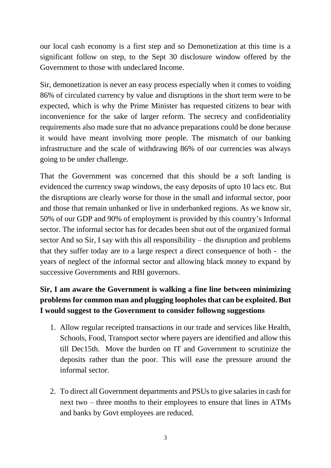our local cash economy is a first step and so Demonetization at this time is a significant follow on step, to the Sept 30 disclosure window offered by the Government to those with undeclared Income.

Sir, demonetization is never an easy process especially when it comes to voiding 86% of circulated currency by value and disruptions in the short term were to be expected, which is why the Prime Minister has requested citizens to bear with inconvenience for the sake of larger reform. The secrecy and confidentiality requirements also made sure that no advance preparations could be done because it would have meant involving more people. The mismatch of our banking infrastructure and the scale of withdrawing 86% of our currencies was always going to be under challenge.

That the Government was concerned that this should be a soft landing is evidenced the currency swap windows, the easy deposits of upto 10 lacs etc. But the disruptions are clearly worse for those in the small and informal sector, poor and those that remain unbanked or live in underbanked regions. As we know sir, 50% of our GDP and 90% of employment is provided by this country's Informal sector. The informal sector has for decades been shut out of the organized formal sector And so Sir, I say with this all responsibility – the disruption and problems that they suffer today are to a large respect a direct consequence of both - the years of neglect of the informal sector and allowing black money to expand by successive Governments and RBI governors.

## **Sir, I am aware the Government is walking a fine line between minimizing problems for common man and plugging loopholes that can be exploited. But I would suggest to the Government to consider followng suggestions**

- 1. Allow regular receipted transactions in our trade and services like Health, Schools, Food, Transport sector where payers are identified and allow this till Dec15th. Move the burden on IT and Government to scrutinize the deposits rather than the poor. This will ease the pressure around the informal sector.
- 2. To direct all Government departments and PSUs to give salaries in cash for next two – three months to their employees to ensure that lines in ATMs and banks by Govt employees are reduced.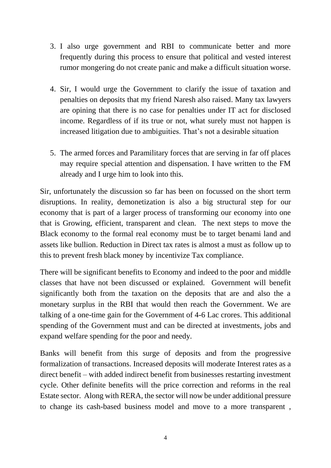- 3. I also urge government and RBI to communicate better and more frequently during this process to ensure that political and vested interest rumor mongering do not create panic and make a difficult situation worse.
- 4. Sir, I would urge the Government to clarify the issue of taxation and penalties on deposits that my friend Naresh also raised. Many tax lawyers are opining that there is no case for penalties under IT act for disclosed income. Regardless of if its true or not, what surely must not happen is increased litigation due to ambiguities. That's not a desirable situation
- 5. The armed forces and Paramilitary forces that are serving in far off places may require special attention and dispensation. I have written to the FM already and I urge him to look into this.

Sir, unfortunately the discussion so far has been on focussed on the short term disruptions. In reality, demonetization is also a big structural step for our economy that is part of a larger process of transforming our economy into one that is Growing, efficient, transparent and clean. The next steps to move the Black economy to the formal real economy must be to target benami land and assets like bullion. Reduction in Direct tax rates is almost a must as follow up to this to prevent fresh black money by incentivize Tax compliance.

There will be significant benefits to Economy and indeed to the poor and middle classes that have not been discussed or explained. Government will benefit significantly both from the taxation on the deposits that are and also the a monetary surplus in the RBI that would then reach the Government. We are talking of a one-time gain for the Government of 4-6 Lac crores. This additional spending of the Government must and can be directed at investments, jobs and expand welfare spending for the poor and needy.

Banks will benefit from this surge of deposits and from the progressive formalization of transactions. Increased deposits will moderate Interest rates as a direct benefit – with added indirect benefit from businesses restarting investment cycle. Other definite benefits will the price correction and reforms in the real Estate sector. Along with RERA, the sector will now be under additional pressure to change its cash-based business model and move to a more transparent ,